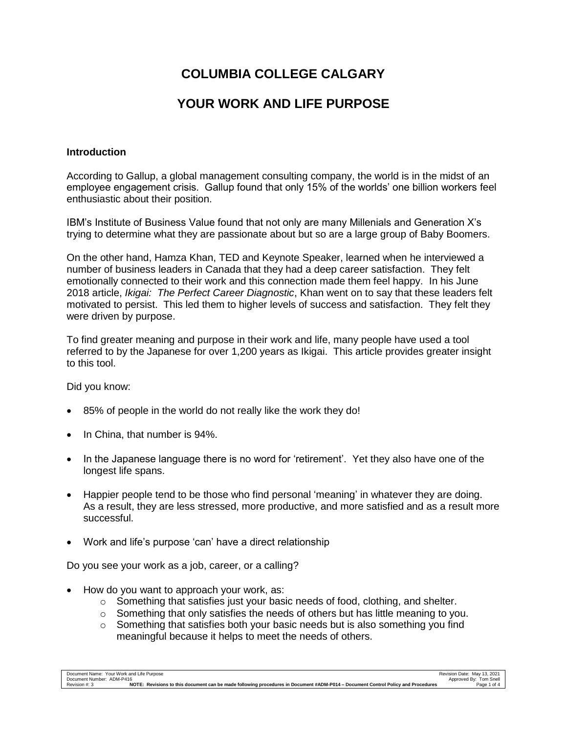# **COLUMBIA COLLEGE CALGARY**

# **YOUR WORK AND LIFE PURPOSE**

## **Introduction**

According to Gallup, a global management consulting company, the world is in the midst of an employee engagement crisis. Gallup found that only 15% of the worlds' one billion workers feel enthusiastic about their position.

IBM's Institute of Business Value found that not only are many Millenials and Generation X's trying to determine what they are passionate about but so are a large group of Baby Boomers.

On the other hand, Hamza Khan, TED and Keynote Speaker, learned when he interviewed a number of business leaders in Canada that they had a deep career satisfaction. They felt emotionally connected to their work and this connection made them feel happy. In his June 2018 article, *Ikigai: The Perfect Career Diagnostic*, Khan went on to say that these leaders felt motivated to persist. This led them to higher levels of success and satisfaction. They felt they were driven by purpose.

To find greater meaning and purpose in their work and life, many people have used a tool referred to by the Japanese for over 1,200 years as Ikigai. This article provides greater insight to this tool.

Did you know:

- 85% of people in the world do not really like the work they do!
- In China, that number is 94%.
- In the Japanese language there is no word for 'retirement'. Yet they also have one of the longest life spans.
- Happier people tend to be those who find personal 'meaning' in whatever they are doing. As a result, they are less stressed, more productive, and more satisfied and as a result more successful.
- Work and life's purpose 'can' have a direct relationship

Do you see your work as a job, career, or a calling?

- How do you want to approach your work, as:
	- $\circ$  Something that satisfies just your basic needs of food, clothing, and shelter.
	- $\circ$  Something that only satisfies the needs of others but has little meaning to you.
	- $\circ$  Something that satisfies both your basic needs but is also something you find meaningful because it helps to meet the needs of others.

| Document Name: Your Work and Life Purpose                                                                                                         | Revision Date: May 13, 2021 |
|---------------------------------------------------------------------------------------------------------------------------------------------------|-----------------------------|
| Document Number: ADM-P416                                                                                                                         | Approved By: Tom Snell      |
| NOTE: Revisions to this document can be made following procedures in Document #ADM-P014 – Document Control Policy and Procedures<br>Revision #: 3 | Page 1 of 4                 |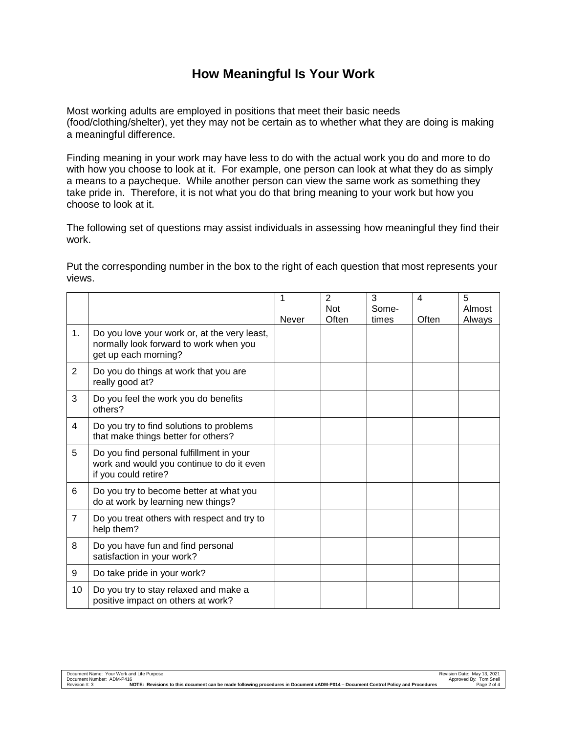## **How Meaningful Is Your Work**

Most working adults are employed in positions that meet their basic needs (food/clothing/shelter), yet they may not be certain as to whether what they are doing is making a meaningful difference.

Finding meaning in your work may have less to do with the actual work you do and more to do with how you choose to look at it. For example, one person can look at what they do as simply a means to a paycheque. While another person can view the same work as something they take pride in. Therefore, it is not what you do that bring meaning to your work but how you choose to look at it.

The following set of questions may assist individuals in assessing how meaningful they find their work.

Put the corresponding number in the box to the right of each question that most represents your views.

|                |                                                                                                                | 1            | $\overline{2}$ | 3     | 4     | 5      |
|----------------|----------------------------------------------------------------------------------------------------------------|--------------|----------------|-------|-------|--------|
|                |                                                                                                                |              | <b>Not</b>     | Some- |       | Almost |
|                |                                                                                                                | <b>Never</b> | Often          | times | Often | Always |
| 1 <sub>1</sub> | Do you love your work or, at the very least,<br>normally look forward to work when you<br>get up each morning? |              |                |       |       |        |
| $\overline{2}$ | Do you do things at work that you are<br>really good at?                                                       |              |                |       |       |        |
| 3              | Do you feel the work you do benefits<br>others?                                                                |              |                |       |       |        |
| 4              | Do you try to find solutions to problems<br>that make things better for others?                                |              |                |       |       |        |
| 5              | Do you find personal fulfillment in your<br>work and would you continue to do it even<br>if you could retire?  |              |                |       |       |        |
| 6              | Do you try to become better at what you<br>do at work by learning new things?                                  |              |                |       |       |        |
| $\overline{7}$ | Do you treat others with respect and try to<br>help them?                                                      |              |                |       |       |        |
| 8              | Do you have fun and find personal<br>satisfaction in your work?                                                |              |                |       |       |        |
| 9              | Do take pride in your work?                                                                                    |              |                |       |       |        |
| 10             | Do you try to stay relaxed and make a<br>positive impact on others at work?                                    |              |                |       |       |        |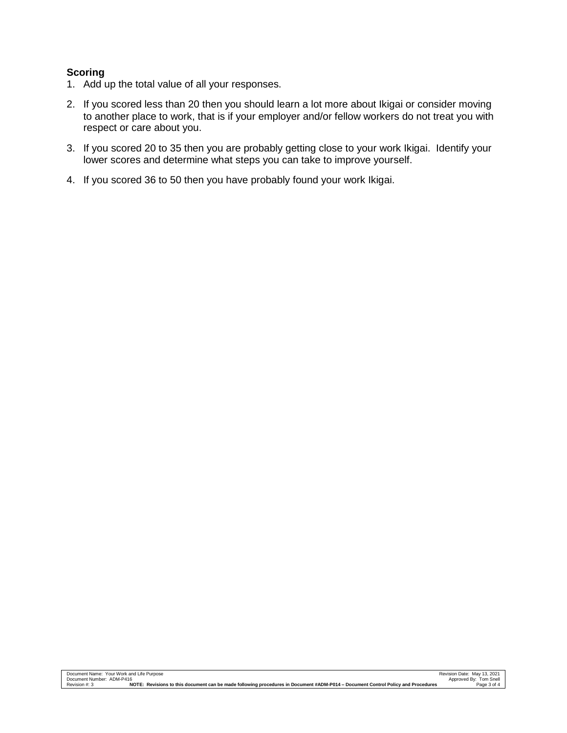### **Scoring**

- 1. Add up the total value of all your responses.
- 2. If you scored less than 20 then you should learn a lot more about Ikigai or consider moving to another place to work, that is if your employer and/or fellow workers do not treat you with respect or care about you.
- 3. If you scored 20 to 35 then you are probably getting close to your work Ikigai. Identify your lower scores and determine what steps you can take to improve yourself.
- 4. If you scored 36 to 50 then you have probably found your work Ikigai.